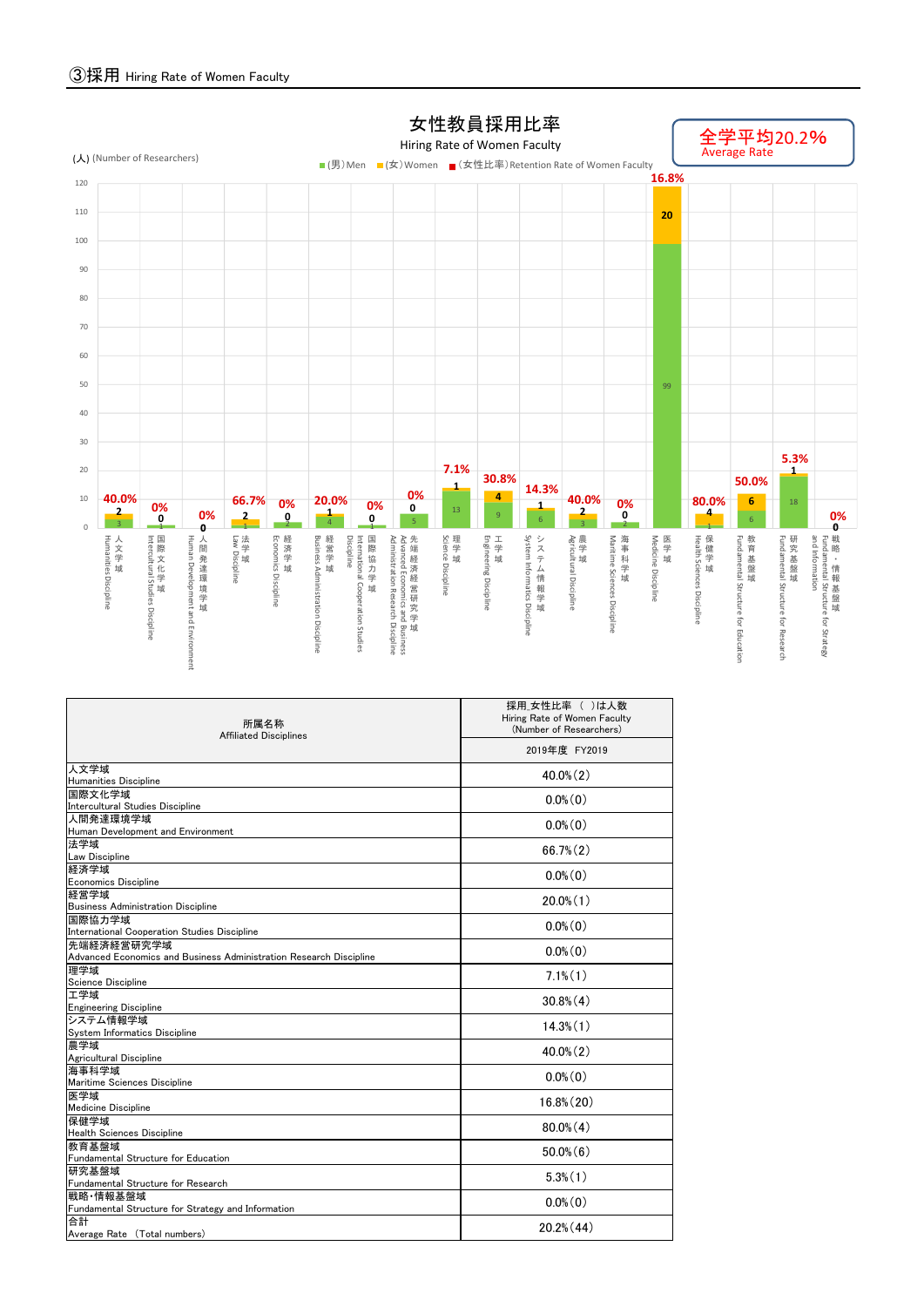

| 所属名称<br><b>Affiliated Disciplines</b>                                            | 採用 女性比率 ( )は人数<br>Hiring Rate of Women Faculty<br>(Number of Researchers) |  |  |  |  |  |  |
|----------------------------------------------------------------------------------|---------------------------------------------------------------------------|--|--|--|--|--|--|
|                                                                                  | 2019年度 FY2019                                                             |  |  |  |  |  |  |
| 人文学域                                                                             | $40.0\%$ (2)                                                              |  |  |  |  |  |  |
| Humanities Discipline                                                            |                                                                           |  |  |  |  |  |  |
| 国際文化学域<br>Intercultural Studies Discipline                                       | $0.0\%$ (0)                                                               |  |  |  |  |  |  |
| 人間発達環境学域                                                                         |                                                                           |  |  |  |  |  |  |
| Human Development and Environment                                                | $0.0\%$ $(0)$                                                             |  |  |  |  |  |  |
| 法学域                                                                              | $66.7\%$ $(2)$                                                            |  |  |  |  |  |  |
| Law Discipline                                                                   |                                                                           |  |  |  |  |  |  |
| 経済学域                                                                             | $0.0\%$ $(0)$                                                             |  |  |  |  |  |  |
| <b>Economics Discipline</b>                                                      |                                                                           |  |  |  |  |  |  |
| 経営学域                                                                             | $20.0\%$ $(1)$                                                            |  |  |  |  |  |  |
| <b>Business Administration Discipline</b>                                        |                                                                           |  |  |  |  |  |  |
| 国際協力学域                                                                           | $0.0\%$ (0)                                                               |  |  |  |  |  |  |
| International Cooperation Studies Discipline                                     |                                                                           |  |  |  |  |  |  |
| 先端経済経営研究学域<br>Advanced Economics and Business Administration Research Discipline | $0.0\%$ (0)                                                               |  |  |  |  |  |  |
| 理学域                                                                              |                                                                           |  |  |  |  |  |  |
| Science Discipline                                                               | $7.1\%$ $(1)$                                                             |  |  |  |  |  |  |
| 工学域                                                                              |                                                                           |  |  |  |  |  |  |
| <b>Engineering Discipline</b>                                                    | $30.8\%$ $(4)$                                                            |  |  |  |  |  |  |
| システム情報学域                                                                         |                                                                           |  |  |  |  |  |  |
| System Informatics Discipline                                                    | $14.3\%$ $(1)$                                                            |  |  |  |  |  |  |
| 農学域                                                                              | $40.0\%$ $(2)$                                                            |  |  |  |  |  |  |
| Agricultural Discipline                                                          |                                                                           |  |  |  |  |  |  |
| 海事科学域<br>Maritime Sciences Discipline                                            | $0.0\%$ (0)                                                               |  |  |  |  |  |  |
| 医学域                                                                              |                                                                           |  |  |  |  |  |  |
| Medicine Discipline                                                              | $16.8\%$ $(20)$                                                           |  |  |  |  |  |  |
| 保健学域                                                                             |                                                                           |  |  |  |  |  |  |
| Health Sciences Discipline                                                       | $80.0\%$ (4)                                                              |  |  |  |  |  |  |
| 教育基盤域                                                                            | $50.0\%$ (6)                                                              |  |  |  |  |  |  |
| Fundamental Structure for Education                                              |                                                                           |  |  |  |  |  |  |
| 研究基盤域                                                                            | $5.3\%$ $(1)$                                                             |  |  |  |  |  |  |
| Fundamental Structure for Research                                               |                                                                           |  |  |  |  |  |  |
| 戦略 情報基盤域                                                                         | $0.0\%$ (0)                                                               |  |  |  |  |  |  |
| Fundamental Structure for Strategy and Information<br>合計                         |                                                                           |  |  |  |  |  |  |
| Average Rate (Total numbers)                                                     | 20.2% (44)                                                                |  |  |  |  |  |  |
|                                                                                  |                                                                           |  |  |  |  |  |  |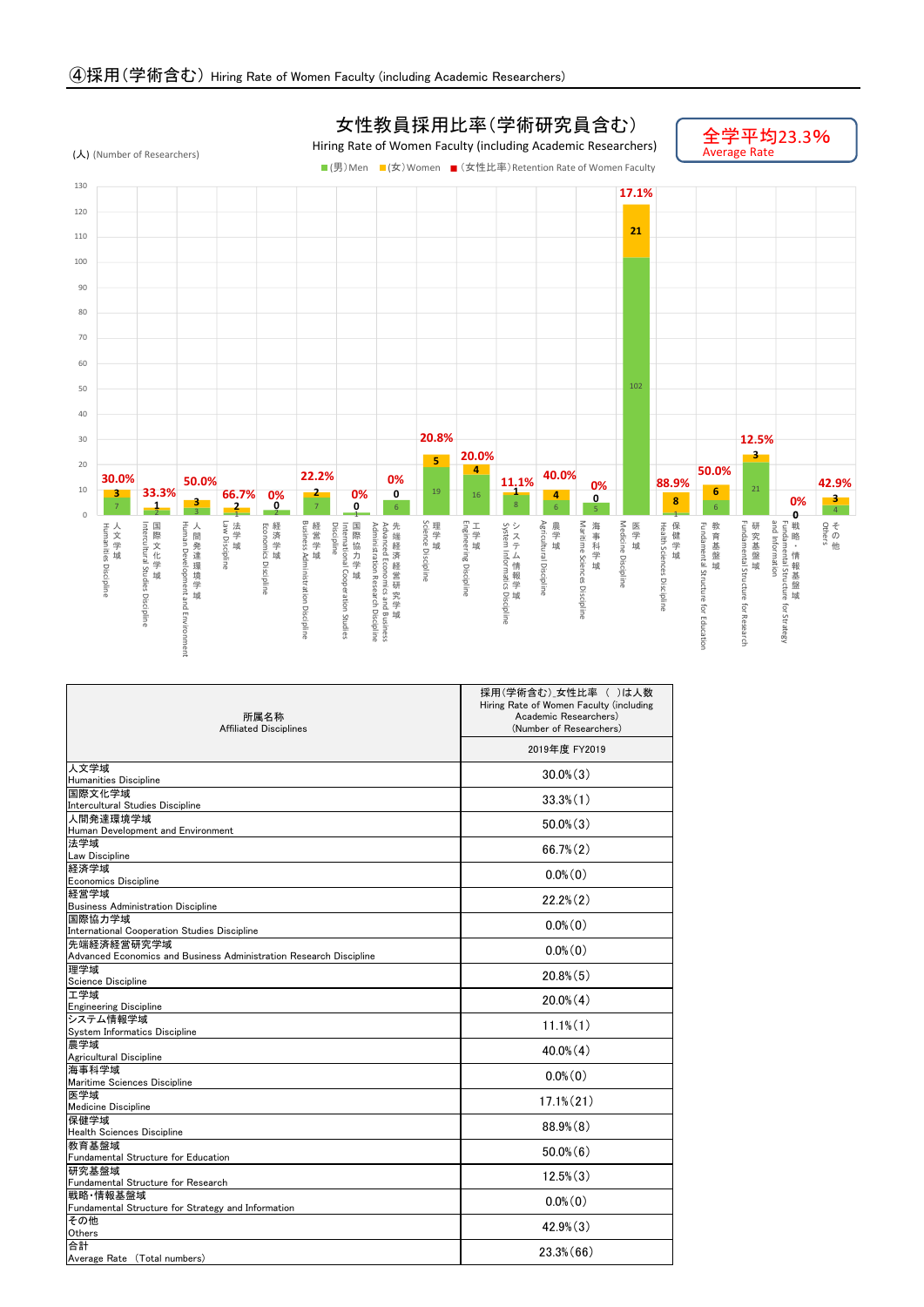

| 所属名称<br><b>Affiliated Disciplines</b>                                            | 採用(学術含む)女性比率 ( )は人数<br>Hiring Rate of Women Faculty (including<br>Academic Researchers)<br>(Number of Researchers) |  |  |  |  |  |  |  |
|----------------------------------------------------------------------------------|--------------------------------------------------------------------------------------------------------------------|--|--|--|--|--|--|--|
|                                                                                  | 2019年度 FY2019                                                                                                      |  |  |  |  |  |  |  |
| 人文学域<br>Humanities Discipline                                                    | $30.0\%$ $(3)$                                                                                                     |  |  |  |  |  |  |  |
| 国際文化学域<br>Intercultural Studies Discipline                                       | $33.3\%$ $(1)$                                                                                                     |  |  |  |  |  |  |  |
| 人間発達環境学域<br>Human Development and Environment                                    | $50.0\%$ $(3)$                                                                                                     |  |  |  |  |  |  |  |
| 法学域<br>Law Discipline                                                            | $66.7\%$ $(2)$                                                                                                     |  |  |  |  |  |  |  |
| 経済学域<br><b>Economics Discipline</b>                                              | $0.0\%$ (0)                                                                                                        |  |  |  |  |  |  |  |
| 経営学域<br><b>Business Administration Discipline</b>                                | $22.2\%$ $(2)$                                                                                                     |  |  |  |  |  |  |  |
| 国際協力学域<br><b>International Cooperation Studies Discipline</b>                    | $0.0\%$ (0)                                                                                                        |  |  |  |  |  |  |  |
| 先端経済経営研究学域<br>Advanced Economics and Business Administration Research Discipline | $0.0\%$ (0)                                                                                                        |  |  |  |  |  |  |  |
| 理学域<br>Science Discipline                                                        | $20.8\%$ $(5)$                                                                                                     |  |  |  |  |  |  |  |
| 工学域<br><b>Engineering Discipline</b>                                             | $20.0\%$ $(4)$                                                                                                     |  |  |  |  |  |  |  |
| システム情報学域<br>System Informatics Discipline                                        | $11.1\%$ $(1)$                                                                                                     |  |  |  |  |  |  |  |
| 農学域<br>Agricultural Discipline                                                   | $40.0\%$ (4)                                                                                                       |  |  |  |  |  |  |  |
| 海事科学域<br>Maritime Sciences Discipline                                            | $0.0\%$ $(0)$                                                                                                      |  |  |  |  |  |  |  |
| 医学域<br><b>Medicine Discipline</b>                                                | $17.1\%$ $(21)$                                                                                                    |  |  |  |  |  |  |  |
| 保健学域<br><b>Health Sciences Discipline</b>                                        | $88.9\%$ $(8)$                                                                                                     |  |  |  |  |  |  |  |
| 教育基盤域<br>Fundamental Structure for Education                                     | $50.0\%$ (6)                                                                                                       |  |  |  |  |  |  |  |
| 研究基盤域<br>Fundamental Structure for Research                                      | $12.5\%$ $(3)$                                                                                                     |  |  |  |  |  |  |  |
| 戦略 情報基盤域<br>Fundamental Structure for Strategy and Information                   | $0.0\%$ (0)                                                                                                        |  |  |  |  |  |  |  |
| その他<br>Others                                                                    | $42.9\%$ $(3)$                                                                                                     |  |  |  |  |  |  |  |
| 合計<br>Average Rate (Total numbers)                                               | $23.3\%$ (66)                                                                                                      |  |  |  |  |  |  |  |

## 女性教員採用比率(学術研究員含む)

Hiring Rate of Women Faculty (including Academic Researchers)

全学平均23.3%<br>Average Rate